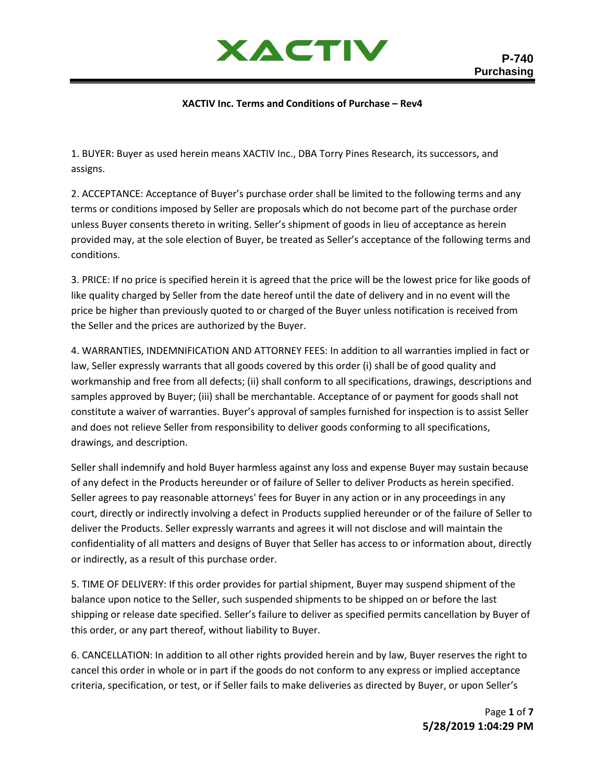

#### **XACTIV Inc. Terms and Conditions of Purchase – Rev4**

1. BUYER: Buyer as used herein means XACTIV Inc., DBA Torry Pines Research, its successors, and assigns.

2. ACCEPTANCE: Acceptance of Buyer's purchase order shall be limited to the following terms and any terms or conditions imposed by Seller are proposals which do not become part of the purchase order unless Buyer consents thereto in writing. Seller's shipment of goods in lieu of acceptance as herein provided may, at the sole election of Buyer, be treated as Seller's acceptance of the following terms and conditions.

3. PRICE: If no price is specified herein it is agreed that the price will be the lowest price for like goods of like quality charged by Seller from the date hereof until the date of delivery and in no event will the price be higher than previously quoted to or charged of the Buyer unless notification is received from the Seller and the prices are authorized by the Buyer.

4. WARRANTIES, INDEMNIFICATION AND ATTORNEY FEES: In addition to all warranties implied in fact or law, Seller expressly warrants that all goods covered by this order (i) shall be of good quality and workmanship and free from all defects; (ii) shall conform to all specifications, drawings, descriptions and samples approved by Buyer; (iii) shall be merchantable. Acceptance of or payment for goods shall not constitute a waiver of warranties. Buyer's approval of samples furnished for inspection is to assist Seller and does not relieve Seller from responsibility to deliver goods conforming to all specifications, drawings, and description.

Seller shall indemnify and hold Buyer harmless against any loss and expense Buyer may sustain because of any defect in the Products hereunder or of failure of Seller to deliver Products as herein specified. Seller agrees to pay reasonable attorneys' fees for Buyer in any action or in any proceedings in any court, directly or indirectly involving a defect in Products supplied hereunder or of the failure of Seller to deliver the Products. Seller expressly warrants and agrees it will not disclose and will maintain the confidentiality of all matters and designs of Buyer that Seller has access to or information about, directly or indirectly, as a result of this purchase order.

5. TIME OF DELIVERY: If this order provides for partial shipment, Buyer may suspend shipment of the balance upon notice to the Seller, such suspended shipments to be shipped on or before the last shipping or release date specified. Seller's failure to deliver as specified permits cancellation by Buyer of this order, or any part thereof, without liability to Buyer.

6. CANCELLATION: In addition to all other rights provided herein and by law, Buyer reserves the right to cancel this order in whole or in part if the goods do not conform to any express or implied acceptance criteria, specification, or test, or if Seller fails to make deliveries as directed by Buyer, or upon Seller's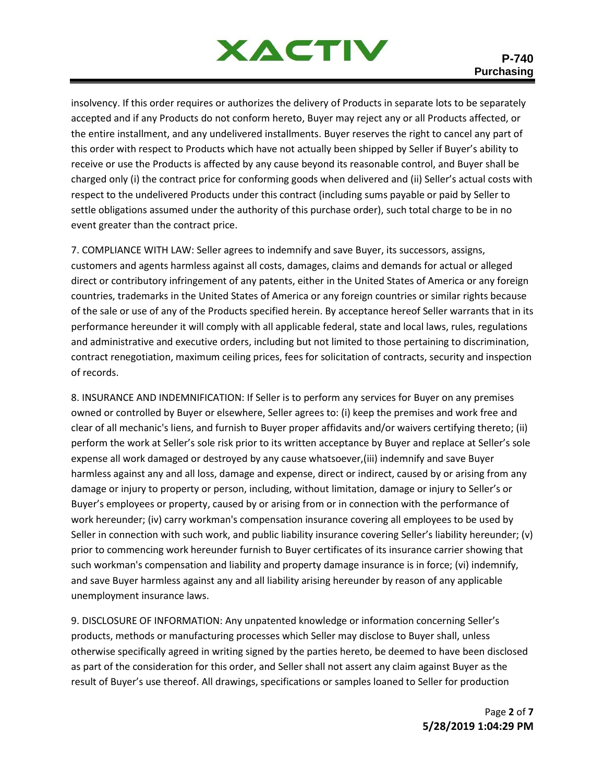insolvency. If this order requires or authorizes the delivery of Products in separate lots to be separately accepted and if any Products do not conform hereto, Buyer may reject any or all Products affected, or the entire installment, and any undelivered installments. Buyer reserves the right to cancel any part of this order with respect to Products which have not actually been shipped by Seller if Buyer's ability to receive or use the Products is affected by any cause beyond its reasonable control, and Buyer shall be charged only (i) the contract price for conforming goods when delivered and (ii) Seller's actual costs with respect to the undelivered Products under this contract (including sums payable or paid by Seller to settle obligations assumed under the authority of this purchase order), such total charge to be in no event greater than the contract price.

7. COMPLIANCE WITH LAW: Seller agrees to indemnify and save Buyer, its successors, assigns, customers and agents harmless against all costs, damages, claims and demands for actual or alleged direct or contributory infringement of any patents, either in the United States of America or any foreign countries, trademarks in the United States of America or any foreign countries or similar rights because of the sale or use of any of the Products specified herein. By acceptance hereof Seller warrants that in its performance hereunder it will comply with all applicable federal, state and local laws, rules, regulations and administrative and executive orders, including but not limited to those pertaining to discrimination, contract renegotiation, maximum ceiling prices, fees for solicitation of contracts, security and inspection of records.

8. INSURANCE AND INDEMNIFICATION: If Seller is to perform any services for Buyer on any premises owned or controlled by Buyer or elsewhere, Seller agrees to: (i) keep the premises and work free and clear of all mechanic's liens, and furnish to Buyer proper affidavits and/or waivers certifying thereto; (ii) perform the work at Seller's sole risk prior to its written acceptance by Buyer and replace at Seller's sole expense all work damaged or destroyed by any cause whatsoever,(iii) indemnify and save Buyer harmless against any and all loss, damage and expense, direct or indirect, caused by or arising from any damage or injury to property or person, including, without limitation, damage or injury to Seller's or Buyer's employees or property, caused by or arising from or in connection with the performance of work hereunder; (iv) carry workman's compensation insurance covering all employees to be used by Seller in connection with such work, and public liability insurance covering Seller's liability hereunder; (v) prior to commencing work hereunder furnish to Buyer certificates of its insurance carrier showing that such workman's compensation and liability and property damage insurance is in force; (vi) indemnify, and save Buyer harmless against any and all liability arising hereunder by reason of any applicable unemployment insurance laws.

9. DISCLOSURE OF INFORMATION: Any unpatented knowledge or information concerning Seller's products, methods or manufacturing processes which Seller may disclose to Buyer shall, unless otherwise specifically agreed in writing signed by the parties hereto, be deemed to have been disclosed as part of the consideration for this order, and Seller shall not assert any claim against Buyer as the result of Buyer's use thereof. All drawings, specifications or samples loaned to Seller for production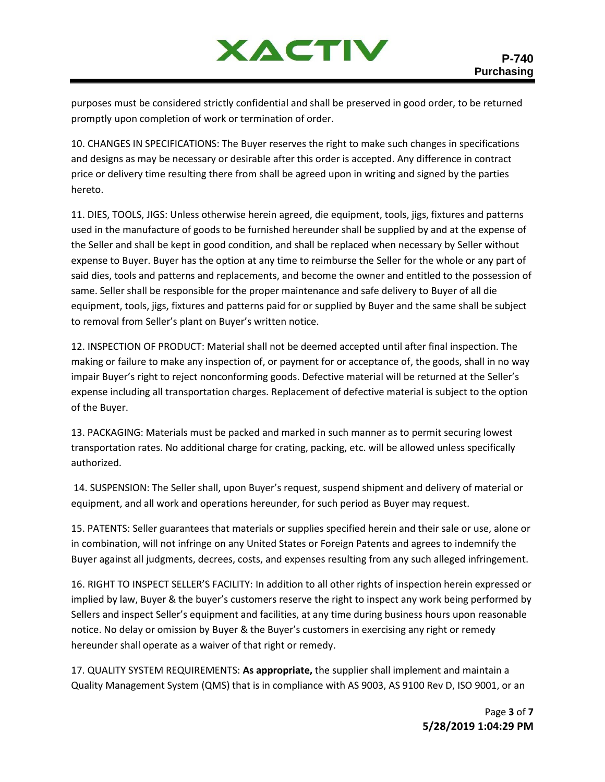purposes must be considered strictly confidential and shall be preserved in good order, to be returned promptly upon completion of work or termination of order.

10. CHANGES IN SPECIFICATIONS: The Buyer reserves the right to make such changes in specifications and designs as may be necessary or desirable after this order is accepted. Any difference in contract price or delivery time resulting there from shall be agreed upon in writing and signed by the parties hereto.

11. DIES, TOOLS, JIGS: Unless otherwise herein agreed, die equipment, tools, jigs, fixtures and patterns used in the manufacture of goods to be furnished hereunder shall be supplied by and at the expense of the Seller and shall be kept in good condition, and shall be replaced when necessary by Seller without expense to Buyer. Buyer has the option at any time to reimburse the Seller for the whole or any part of said dies, tools and patterns and replacements, and become the owner and entitled to the possession of same. Seller shall be responsible for the proper maintenance and safe delivery to Buyer of all die equipment, tools, jigs, fixtures and patterns paid for or supplied by Buyer and the same shall be subject to removal from Seller's plant on Buyer's written notice.

12. INSPECTION OF PRODUCT: Material shall not be deemed accepted until after final inspection. The making or failure to make any inspection of, or payment for or acceptance of, the goods, shall in no way impair Buyer's right to reject nonconforming goods. Defective material will be returned at the Seller's expense including all transportation charges. Replacement of defective material is subject to the option of the Buyer.

13. PACKAGING: Materials must be packed and marked in such manner as to permit securing lowest transportation rates. No additional charge for crating, packing, etc. will be allowed unless specifically authorized.

14. SUSPENSION: The Seller shall, upon Buyer's request, suspend shipment and delivery of material or equipment, and all work and operations hereunder, for such period as Buyer may request.

15. PATENTS: Seller guarantees that materials or supplies specified herein and their sale or use, alone or in combination, will not infringe on any United States or Foreign Patents and agrees to indemnify the Buyer against all judgments, decrees, costs, and expenses resulting from any such alleged infringement.

16. RIGHT TO INSPECT SELLER'S FACILITY: In addition to all other rights of inspection herein expressed or implied by law, Buyer & the buyer's customers reserve the right to inspect any work being performed by Sellers and inspect Seller's equipment and facilities, at any time during business hours upon reasonable notice. No delay or omission by Buyer & the Buyer's customers in exercising any right or remedy hereunder shall operate as a waiver of that right or remedy.

17. QUALITY SYSTEM REQUIREMENTS: **As appropriate,** the supplier shall implement and maintain a Quality Management System (QMS) that is in compliance with AS 9003, AS 9100 Rev D, ISO 9001, or an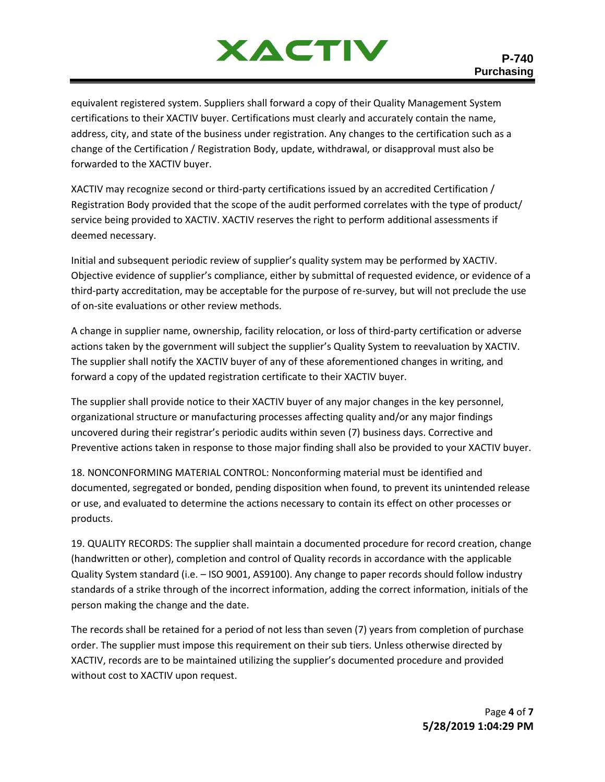equivalent registered system. Suppliers shall forward a copy of their Quality Management System certifications to their XACTIV buyer. Certifications must clearly and accurately contain the name, address, city, and state of the business under registration. Any changes to the certification such as a change of the Certification / Registration Body, update, withdrawal, or disapproval must also be forwarded to the XACTIV buyer.

XACTIV may recognize second or third-party certifications issued by an accredited Certification / Registration Body provided that the scope of the audit performed correlates with the type of product/ service being provided to XACTIV. XACTIV reserves the right to perform additional assessments if deemed necessary.

Initial and subsequent periodic review of supplier's quality system may be performed by XACTIV. Objective evidence of supplier's compliance, either by submittal of requested evidence, or evidence of a third-party accreditation, may be acceptable for the purpose of re-survey, but will not preclude the use of on-site evaluations or other review methods.

A change in supplier name, ownership, facility relocation, or loss of third-party certification or adverse actions taken by the government will subject the supplier's Quality System to reevaluation by XACTIV. The supplier shall notify the XACTIV buyer of any of these aforementioned changes in writing, and forward a copy of the updated registration certificate to their XACTIV buyer.

The supplier shall provide notice to their XACTIV buyer of any major changes in the key personnel, organizational structure or manufacturing processes affecting quality and/or any major findings uncovered during their registrar's periodic audits within seven (7) business days. Corrective and Preventive actions taken in response to those major finding shall also be provided to your XACTIV buyer.

18. NONCONFORMING MATERIAL CONTROL: Nonconforming material must be identified and documented, segregated or bonded, pending disposition when found, to prevent its unintended release or use, and evaluated to determine the actions necessary to contain its effect on other processes or products.

19. QUALITY RECORDS: The supplier shall maintain a documented procedure for record creation, change (handwritten or other), completion and control of Quality records in accordance with the applicable Quality System standard (i.e. – ISO 9001, AS9100). Any change to paper records should follow industry standards of a strike through of the incorrect information, adding the correct information, initials of the person making the change and the date.

The records shall be retained for a period of not less than seven (7) years from completion of purchase order. The supplier must impose this requirement on their sub tiers. Unless otherwise directed by XACTIV, records are to be maintained utilizing the supplier's documented procedure and provided without cost to XACTIV upon request.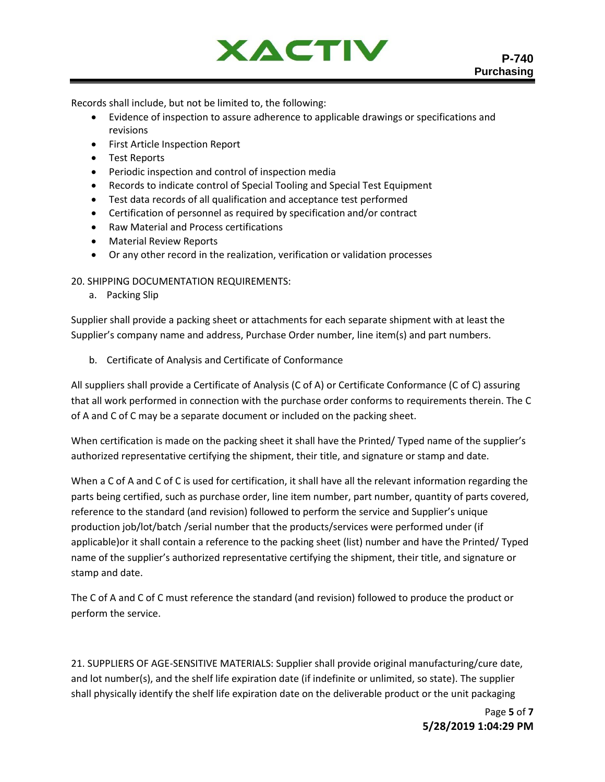

Records shall include, but not be limited to, the following:

- Evidence of inspection to assure adherence to applicable drawings or specifications and revisions
- First Article Inspection Report
- Test Reports
- Periodic inspection and control of inspection media
- Records to indicate control of Special Tooling and Special Test Equipment
- Test data records of all qualification and acceptance test performed
- Certification of personnel as required by specification and/or contract
- Raw Material and Process certifications
- Material Review Reports
- Or any other record in the realization, verification or validation processes

20. SHIPPING DOCUMENTATION REQUIREMENTS:

a. Packing Slip

Supplier shall provide a packing sheet or attachments for each separate shipment with at least the Supplier's company name and address, Purchase Order number, line item(s) and part numbers.

b. Certificate of Analysis and Certificate of Conformance

All suppliers shall provide a Certificate of Analysis (C of A) or Certificate Conformance (C of C) assuring that all work performed in connection with the purchase order conforms to requirements therein. The C of A and C of C may be a separate document or included on the packing sheet.

When certification is made on the packing sheet it shall have the Printed/ Typed name of the supplier's authorized representative certifying the shipment, their title, and signature or stamp and date.

When a C of A and C of C is used for certification, it shall have all the relevant information regarding the parts being certified, such as purchase order, line item number, part number, quantity of parts covered, reference to the standard (and revision) followed to perform the service and Supplier's unique production job/lot/batch /serial number that the products/services were performed under (if applicable)or it shall contain a reference to the packing sheet (list) number and have the Printed/ Typed name of the supplier's authorized representative certifying the shipment, their title, and signature or stamp and date.

The C of A and C of C must reference the standard (and revision) followed to produce the product or perform the service.

21. SUPPLIERS OF AGE-SENSITIVE MATERIALS: Supplier shall provide original manufacturing/cure date, and lot number(s), and the shelf life expiration date (if indefinite or unlimited, so state). The supplier shall physically identify the shelf life expiration date on the deliverable product or the unit packaging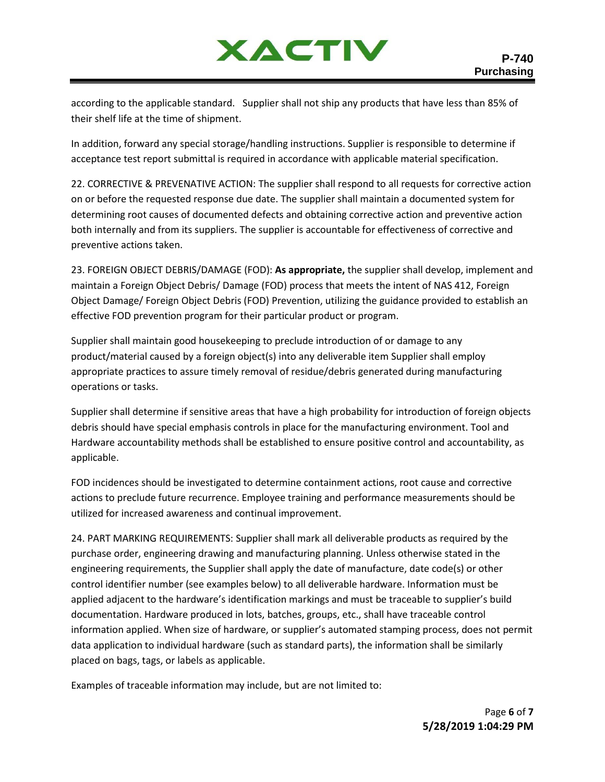according to the applicable standard. Supplier shall not ship any products that have less than 85% of their shelf life at the time of shipment.

In addition, forward any special storage/handling instructions. Supplier is responsible to determine if acceptance test report submittal is required in accordance with applicable material specification.

22. CORRECTIVE & PREVENATIVE ACTION: The supplier shall respond to all requests for corrective action on or before the requested response due date. The supplier shall maintain a documented system for determining root causes of documented defects and obtaining corrective action and preventive action both internally and from its suppliers. The supplier is accountable for effectiveness of corrective and preventive actions taken.

23. FOREIGN OBJECT DEBRIS/DAMAGE (FOD): **As appropriate,** the supplier shall develop, implement and maintain a Foreign Object Debris/ Damage (FOD) process that meets the intent of NAS 412, Foreign Object Damage/ Foreign Object Debris (FOD) Prevention, utilizing the guidance provided to establish an effective FOD prevention program for their particular product or program.

Supplier shall maintain good housekeeping to preclude introduction of or damage to any product/material caused by a foreign object(s) into any deliverable item Supplier shall employ appropriate practices to assure timely removal of residue/debris generated during manufacturing operations or tasks.

Supplier shall determine if sensitive areas that have a high probability for introduction of foreign objects debris should have special emphasis controls in place for the manufacturing environment. Tool and Hardware accountability methods shall be established to ensure positive control and accountability, as applicable.

FOD incidences should be investigated to determine containment actions, root cause and corrective actions to preclude future recurrence. Employee training and performance measurements should be utilized for increased awareness and continual improvement.

24. PART MARKING REQUIREMENTS: Supplier shall mark all deliverable products as required by the purchase order, engineering drawing and manufacturing planning. Unless otherwise stated in the engineering requirements, the Supplier shall apply the date of manufacture, date code(s) or other control identifier number (see examples below) to all deliverable hardware. Information must be applied adjacent to the hardware's identification markings and must be traceable to supplier's build documentation. Hardware produced in lots, batches, groups, etc., shall have traceable control information applied. When size of hardware, or supplier's automated stamping process, does not permit data application to individual hardware (such as standard parts), the information shall be similarly placed on bags, tags, or labels as applicable.

Examples of traceable information may include, but are not limited to: